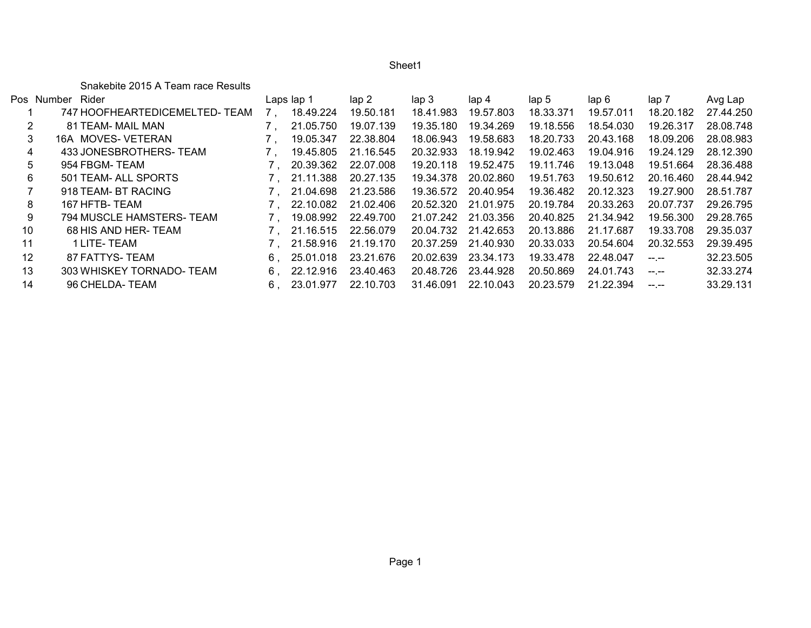Sheet1

Snakebite 2015 A Team race Results

| Rider                         |                                                                  |           | lap <sub>2</sub> | lap <sub>3</sub> | lap 4     | lap 5     | lap 6     | lap 7                                                                                                                                                                                                                                                                                                                                                                                        | Avg Lap   |
|-------------------------------|------------------------------------------------------------------|-----------|------------------|------------------|-----------|-----------|-----------|----------------------------------------------------------------------------------------------------------------------------------------------------------------------------------------------------------------------------------------------------------------------------------------------------------------------------------------------------------------------------------------------|-----------|
| 747 HOOFHEARTEDICEMELTED-TEAM |                                                                  | 18.49.224 | 19.50.181        | 18.41.983        | 19.57.803 | 18.33.371 | 19.57.011 | 18.20.182                                                                                                                                                                                                                                                                                                                                                                                    | 27.44.250 |
| 81 TEAM- MAIL MAN             |                                                                  | 21.05.750 | 19.07.139        | 19.35.180        | 19.34.269 | 19.18.556 | 18.54.030 | 19.26.317                                                                                                                                                                                                                                                                                                                                                                                    | 28.08.748 |
| 16A MOVES- VETERAN            |                                                                  | 19.05.347 | 22.38.804        | 18.06.943        | 19.58.683 | 18.20.733 | 20.43.168 | 18.09.206                                                                                                                                                                                                                                                                                                                                                                                    | 28.08.983 |
| 433 JONESBROTHERS-TEAM        |                                                                  | 19.45.805 | 21.16.545        | 20.32.933        | 18.19.942 | 19.02.463 | 19.04.916 | 19.24.129                                                                                                                                                                                                                                                                                                                                                                                    | 28.12.390 |
| 954 FBGM- TEAM                |                                                                  | 20.39.362 | 22.07.008        | 19.20.118        | 19.52.475 | 19.11.746 | 19.13.048 | 19.51.664                                                                                                                                                                                                                                                                                                                                                                                    | 28.36.488 |
| 501 TEAM- ALL SPORTS          |                                                                  | 21.11.388 | 20.27.135        | 19.34.378        | 20.02.860 | 19.51.763 | 19.50.612 | 20.16.460                                                                                                                                                                                                                                                                                                                                                                                    | 28.44.942 |
| 918 TEAM- BT RACING           |                                                                  | 21.04.698 | 21.23.586        | 19.36.572        | 20.40.954 | 19.36.482 | 20.12.323 | 19.27.900                                                                                                                                                                                                                                                                                                                                                                                    | 28.51.787 |
| 167 HFTB-TEAM                 |                                                                  | 22.10.082 | 21.02.406        | 20.52.320        | 21.01.975 | 20.19.784 | 20.33.263 | 20.07.737                                                                                                                                                                                                                                                                                                                                                                                    | 29.26.795 |
| 794 MUSCLE HAMSTERS- TEAM     |                                                                  | 19.08.992 | 22.49.700        | 21.07.242        | 21.03.356 | 20.40.825 | 21.34.942 | 19.56.300                                                                                                                                                                                                                                                                                                                                                                                    | 29.28.765 |
| 68 HIS AND HER-TEAM           |                                                                  | 21.16.515 | 22.56.079        | 20.04.732        | 21.42.653 | 20.13.886 | 21.17.687 | 19.33.708                                                                                                                                                                                                                                                                                                                                                                                    | 29.35.037 |
| 1 LITE- TEAM                  |                                                                  | 21.58.916 | 21.19.170        | 20.37.259        | 21.40.930 | 20.33.033 | 20.54.604 | 20.32.553                                                                                                                                                                                                                                                                                                                                                                                    | 29.39.495 |
| 87 FATTYS-TEAM                | 6.                                                               | 25.01.018 | 23.21.676        | 20.02.639        | 23.34.173 | 19.33.478 | 22.48.047 | $\frac{1}{2} \frac{1}{2} \frac{1}{2} \frac{1}{2} \frac{1}{2} \frac{1}{2} \frac{1}{2} \frac{1}{2} \frac{1}{2} \frac{1}{2} \frac{1}{2} \frac{1}{2} \frac{1}{2} \frac{1}{2} \frac{1}{2} \frac{1}{2} \frac{1}{2} \frac{1}{2} \frac{1}{2} \frac{1}{2} \frac{1}{2} \frac{1}{2} \frac{1}{2} \frac{1}{2} \frac{1}{2} \frac{1}{2} \frac{1}{2} \frac{1}{2} \frac{1}{2} \frac{1}{2} \frac{1}{2} \frac{$ | 32.23.505 |
| 303 WHISKEY TORNADO-TEAM      | 6.                                                               | 22.12.916 | 23.40.463        | 20.48.726        | 23.44.928 | 20.50.869 | 24.01.743 | $-1$ , $-1$                                                                                                                                                                                                                                                                                                                                                                                  | 32.33.274 |
| 96 CHELDA- TEAM               | 6.                                                               | 23.01.977 | 22.10.703        | 31.46.091        | 22.10.043 | 20.23.579 | 21.22.394 | --.--                                                                                                                                                                                                                                                                                                                                                                                        | 33.29.131 |
| 11                            | Pos Number<br>3<br>4<br>5<br>6<br>8<br>9<br>10<br>12<br>13<br>14 |           | Laps lap 1       |                  |           |           |           |                                                                                                                                                                                                                                                                                                                                                                                              |           |